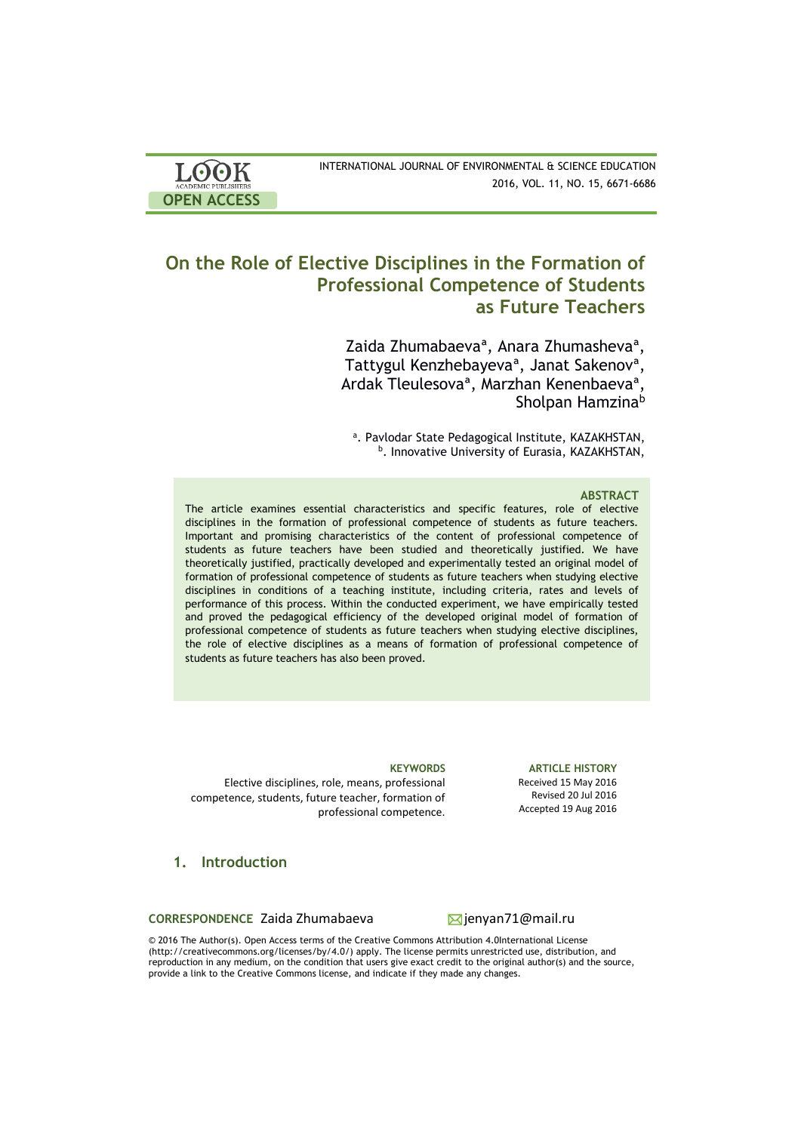| <b>LOOK</b>         | INTERNATIONAL JOURNAL OF ENVIRONMENTAL & SCIENCE EDUCATION |
|---------------------|------------------------------------------------------------|
| ACADEMIC PUBLISHERS | 2016, VOL. 11, NO. 15, 6671-6686                           |
| <b>OPEN ACCESS</b>  |                                                            |

# **On the Role of Elective Disciplines in the Formation of Professional Competence of Students as Future Teachers**

 Zaidа Zhumabaevaª, Anara Zhumashevaª, Tattygul Kenzhebayevaª, Janat Sakenovª, Ardak Tleulesovaª, Marzhan Kenenbaevaª, Sholpan Hamzina<sup>b</sup>

a. Pavlodar State Pedagogical Institute, KAZAKHSTAN, <sup>b</sup>. Innovative University of Eurasia, KAZAKHSTAN,

## **ABSTRACT**

The article examines essential characteristics and specific features, role of elective disciplines in the formation of professional competence of students as future teachers. Important and promising characteristics of the content of professional competence of students as future teachers have been studied and theoretically justified. We have theoretically justified, practically developed and experimentally tested an original model of formation of professional competence of students as future teachers when studying elective disciplines in conditions of a teaching institute, including criteria, rates and levels of performance of this process. Within the conducted experiment, we have empirically tested and proved the pedagogical efficiency of the developed original model of formation of professional competence of students as future teachers when studying elective disciplines, the role of elective disciplines as a means of formation of professional competence of students as future teachers has also been proved.

Elective disciplines, role, means, professional competence, students, future teacher, formation of professional competence.

**1. Introduction**

CORRESPONDENCE Zaida Zhumabaeva <sub>ien</sub>ignyan71@mail.ru

**KEYWORDS ARTICLE HISTORY** Received 15 May 2016 Revised 20 Jul 2016 Accepted 19 Aug 2016

© 2016 The Author(s). Open Access terms of the Creative Commons Attribution 4.0International License (http://creativecommons.org/licenses/by/4.0/) apply. The license permits unrestricted use, distribution, and reproduction in any medium, on the condition that users give exact credit to the original author(s) and the source, provide a link to the Creative Commons license, and indicate if they made any changes.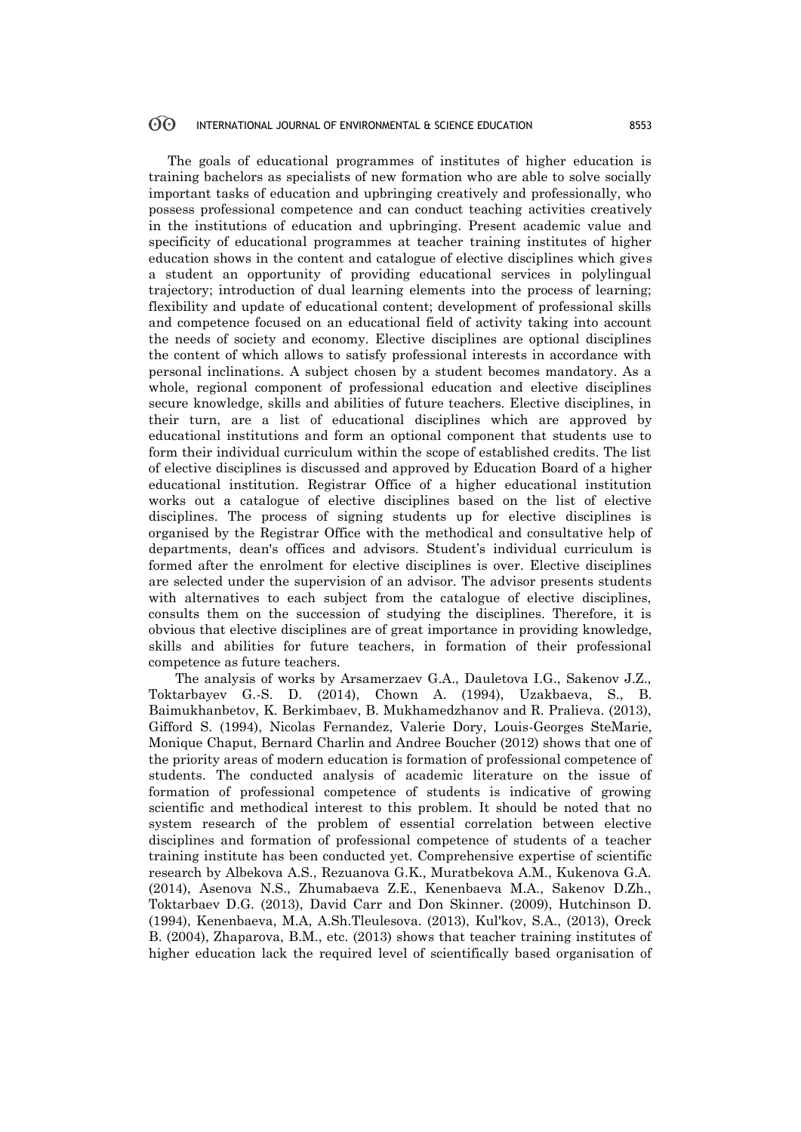#### 60 INTERNATIONAL JOURNAL OF ENVIRONMENTAL & SCIENCE EDUCATION 8553

The goals of educational programmes of institutes of higher education is training bachelors as specialists of new formation who are able to solve socially important tasks of education and upbringing creatively and professionally, who possess professional competence and can conduct teaching activities creatively in the institutions of education and upbringing. Present academic value and specificity of educational programmes at teacher training institutes of higher education shows in the content and catalogue of elective disciplines which gives a student an opportunity of providing educational services in polylingual trajectory; introduction of dual learning elements into the process of learning; flexibility and update of educational content; development of professional skills and competence focused on an educational field of activity taking into account the needs of society and economy. Elective disciplines are optional disciplines the content of which allows to satisfy professional interests in accordance with personal inclinations. A subject chosen by a student becomes mandatory. As a whole, regional component of professional education and elective disciplines secure knowledge, skills and abilities of future teachers. Elective disciplines, in their turn, are a list of educational disciplines which are approved by educational institutions and form an optional component that students use to form their individual curriculum within the scope of established credits. The list of elective disciplines is discussed and approved by Education Board of a higher educational institution. Registrar Office of a higher educational institution works out a catalogue of elective disciplines based on the list of elective disciplines. The process of signing students up for elective disciplines is organised by the Registrar Office with the methodical and consultative help of departments, dean's offices and advisors. Student's individual curriculum is formed after the enrolment for elective disciplines is over. Elective disciplines are selected under the supervision of an advisor. The advisor presents students with alternatives to each subject from the catalogue of elective disciplines, consults them on the succession of studying the disciplines. Therefore, it is obvious that elective disciplines are of great importance in providing knowledge, skills and abilities for future teachers, in formation of their professional competence as future teachers.

 The analysis of works by Arsamerzaev G.A., Dauletova I.G., Sakenov J.Z., Toktarbayev G.-S. D. (2014), Chown A. (1994), Uzakbaeva, S., B. Baimukhanbetov, K. Berkimbaev, B. Mukhamedzhanov and R. Pralieva. (2013), Gifford S. (1994), Nicolas Fernandez, Valerie Dory, Louis-Georges SteMarie, Monique Chaput, Bernard Charlin and Andree Boucher (2012) shows that one of the priority areas of modern education is formation of professional competence of students. The conducted analysis of academic literature on the issue of formation of professional competence of students is indicative of growing scientific and methodical interest to this problem. It should be noted that no system research of the problem of essential correlation between elective disciplines and formation of professional competence of students of a teacher training institute has been conducted yet. Comprehensive expertise of scientific research by Albekova A.S., Rezuanova G.K., Muratbekova A.M., Kukenova G.A. (2014), Asenova N.S., Zhumabaeva Z.E., Kenenbaeva M.A., Sakenov D.Zh., Toktarbaev D.G. (2013), David Carr and Don Skinner. (2009), Hutchinson D. (1994), Kenenbaeva, M.A, A.Sh.Tleulesova. (2013), Kul'kov, S.A., (2013), Oreck B. (2004), Zhaparova, B.M., etc. (2013) shows that teacher training institutes of higher education lack the required level of scientifically based organisation of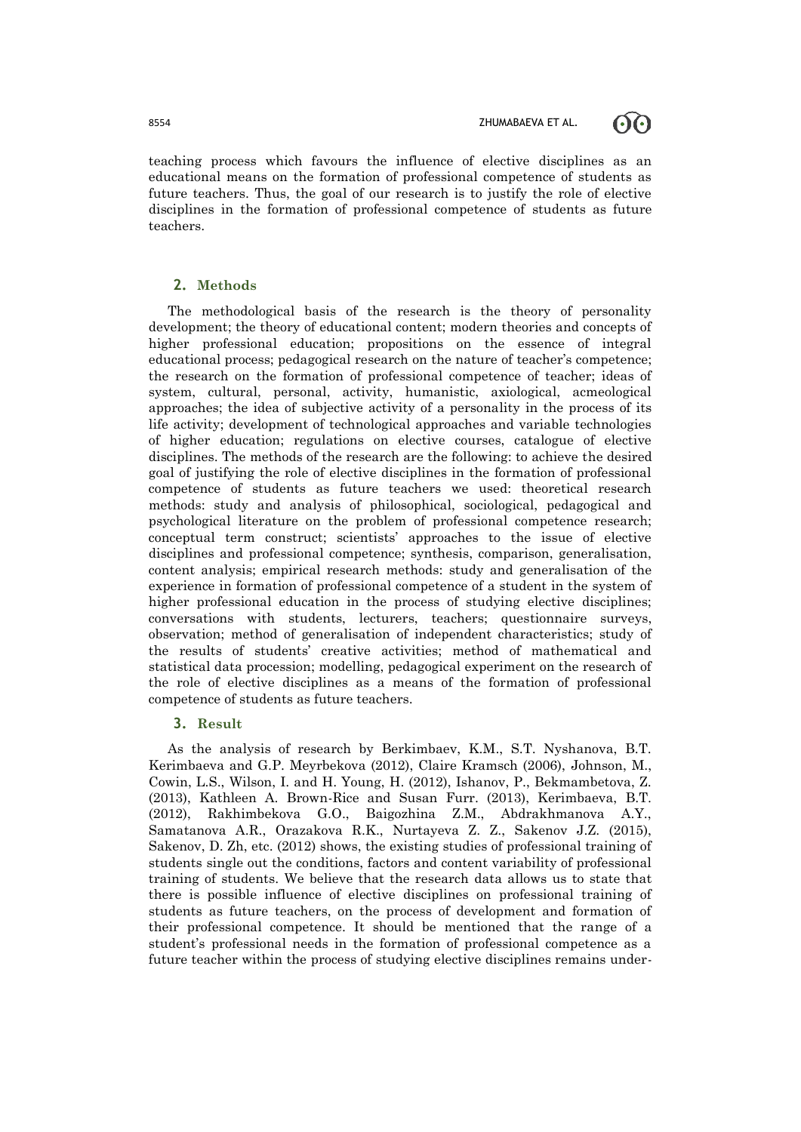

teaching process which favours the influence of elective disciplines as an educational means on the formation of professional competence of students as future teachers. Thus, the goal of our research is to justify the role of elective disciplines in the formation of professional competence of students as future teachers.

## **2. Methods**

The methodological basis of the research is the theory of personality development; the theory of educational content; modern theories and concepts of higher professional education; propositions on the essence of integral educational process; pedagogical research on the nature of teacher's competence; the research on the formation of professional competence of teacher; ideas of system, cultural, personal, activity, humanistic, axiological, acmeological approaches; the idea of subjective activity of a personality in the process of its life activity; development of technological approaches and variable technologies of higher education; regulations on elective courses, catalogue of elective disciplines. The methods of the research are the following: to achieve the desired goal of justifying the role of elective disciplines in the formation of professional competence of students as future teachers we used: theoretical research methods: study and analysis of philosophical, sociological, pedagogical and psychological literature on the problem of professional competence research; conceptual term construct; scientists' approaches to the issue of elective disciplines and professional competence; synthesis, comparison, generalisation, content analysis; empirical research methods: study and generalisation of the experience in formation of professional competence of a student in the system of higher professional education in the process of studying elective disciplines; conversations with students, lecturers, teachers; questionnaire surveys, observation; method of generalisation of independent characteristics; study of the results of students' creative activities; method of mathematical and statistical data procession; modelling, pedagogical experiment on the research of the role of elective disciplines as a means of the formation of professional competence of students as future teachers.

### **3. Result**

As the analysis of research by Berkimbaev, K.M., S.T. Nyshanova, B.T. Kerimbaeva and G.P. Meyrbekova (2012), Claire Kramsch (2006), Johnson, M., Cowin, L.S., Wilson, I. and H. Young, H. (2012), Ishanov, P., Bekmambetova, Z. (2013), Kathleen A. Brown-Rice and Susan Furr. (2013), Kerimbaeva, B.T. (2012), Rakhimbekova G.O., Baigozhina Z.M., Abdrakhmanova A.Y., Samatanova A.R., Orazakova R.K., Nurtayeva Z. Z., Sakenov J.Z. (2015), Sakenov, D. Zh, etc. (2012) shows, the existing studies of professional training of students single out the conditions, factors and content variability of professional training of students. We believe that the research data allows us to state that there is possible influence of elective disciplines on professional training of students as future teachers, on the process of development and formation of their professional competence. It should be mentioned that the range of a student's professional needs in the formation of professional competence as a future teacher within the process of studying elective disciplines remains under-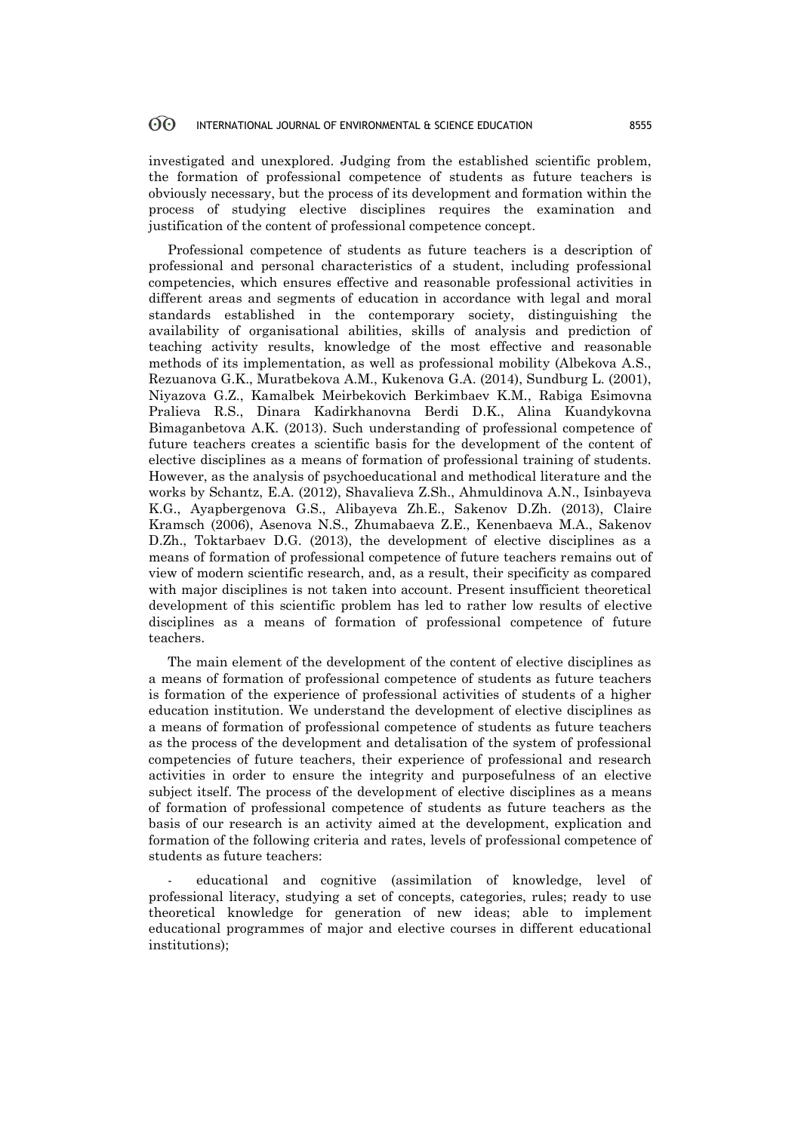#### 60 INTERNATIONAL JOURNAL OF ENVIRONMENTAL & SCIENCE EDUCATION 8555

investigated and unexplored. Judging from the established scientific problem, the formation of professional competence of students as future teachers is obviously necessary, but the process of its development and formation within the process of studying elective disciplines requires the examination and justification of the content of professional competence concept.

Professional competence of students as future teachers is a description of professional and personal characteristics of a student, including professional competencies, which ensures effective and reasonable professional activities in different areas and segments of education in accordance with legal and moral standards established in the contemporary society, distinguishing the availability of organisational abilities, skills of analysis and prediction of teaching activity results, knowledge of the most effective and reasonable methods of its implementation, as well as professional mobility (Albekova A.S., Rezuanova G.K., Muratbekova A.M., Kukenova G.A. (2014), Sundburg L. (2001), Niyazova G.Z., Kamalbek Meirbekovich Berkimbaev K.M., Rabiga Esimovna Pralieva R.S., Dinara Kadirkhanovna Berdi D.K., Alina Kuandykovna Bimaganbetova A.K. (2013). Such understanding of professional competence of future teachers creates a scientific basis for the development of the content of elective disciplines as a means of formation of professional training of students. However, as the analysis of psychoeducational and methodical literature and the works by Schantz, E.A. (2012), Shavalieva Z.Sh., Ahmuldinova A.N., Isinbayeva K.G., Ayapbergenova G.S., Alibayeva Zh.E., Sakenov D.Zh. (2013), Claire Kramsch (2006), Asenova N.S., Zhumabaeva Z.E., Kenenbaeva M.A., Sakenov D.Zh., Toktarbaev D.G. (2013), the development of elective disciplines as a means of formation of professional competence of future teachers remains out of view of modern scientific research, and, as a result, their specificity as compared with major disciplines is not taken into account. Present insufficient theoretical development of this scientific problem has led to rather low results of elective disciplines as a means of formation of professional competence of future teachers.

The main element of the development of the content of elective disciplines as a means of formation of professional competence of students as future teachers is formation of the experience of professional activities of students of a higher education institution. We understand the development of elective disciplines as a means of formation of professional competence of students as future teachers as the process of the development and detalisation of the system of professional competencies of future teachers, their experience of professional and research activities in order to ensure the integrity and purposefulness of an elective subject itself. The process of the development of elective disciplines as a means of formation of professional competence of students as future teachers as the basis of our research is an activity aimed at the development, explication and formation of the following criteria and rates, levels of professional competence of students as future teachers:

educational and cognitive (assimilation of knowledge, level of professional literacy, studying a set of concepts, categories, rules; ready to use theoretical knowledge for generation of new ideas; able to implement educational programmes of major and elective courses in different educational institutions);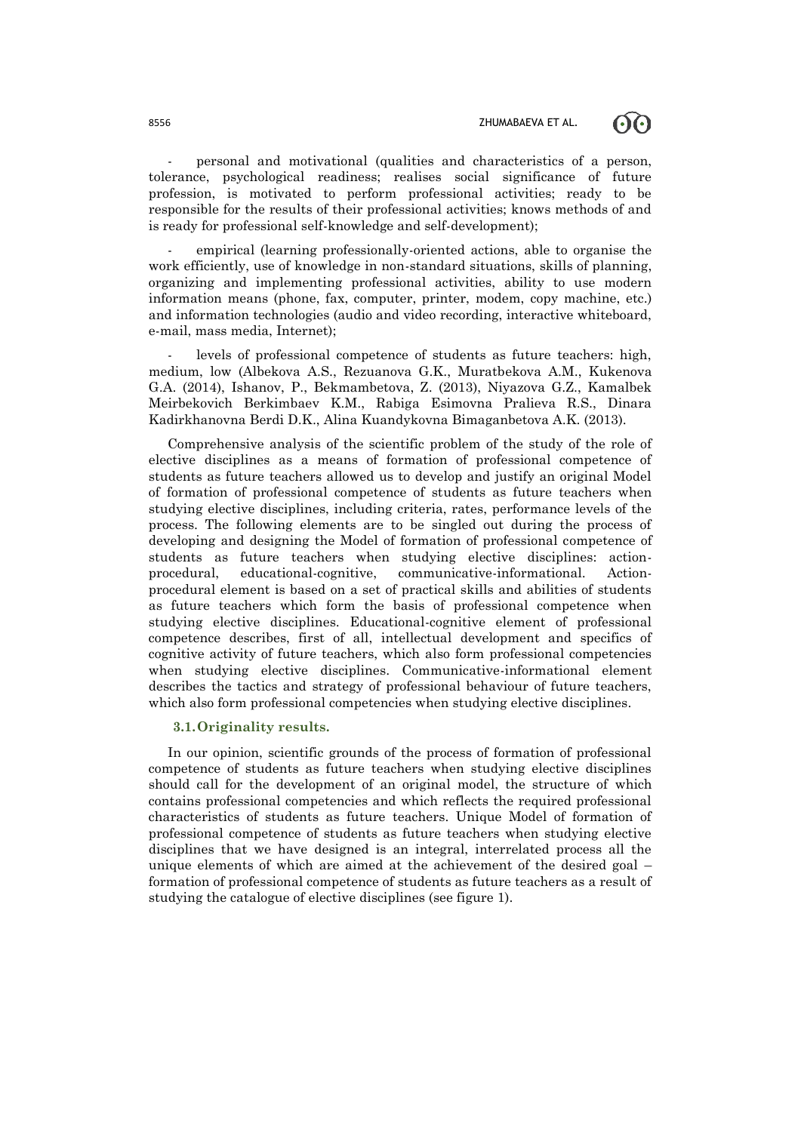60



empirical (learning professionally-oriented actions, able to organise the work efficiently, use of knowledge in non-standard situations, skills of planning, organizing and implementing professional activities, ability to use modern information means (phone, fax, computer, printer, modem, copy machine, etc.) and information technologies (audio and video recording, interactive whiteboard, e-mail, mass media, Internet);

levels of professional competence of students as future teachers: high, medium, low (Albekova A.S., Rezuanova G.K., Muratbekova A.M., Kukenova G.A. (2014), Ishanov, P., Bekmambetova, Z. (2013), Niyazova G.Z., Kamalbek Meirbekovich Berkimbaev K.M., Rabiga Esimovna Pralieva R.S., Dinara Kadirkhanovna Berdi D.K., Alina Kuandykovna Bimaganbetova A.K. (2013).

Comprehensive analysis of the scientific problem of the study of the role of elective disciplines as a means of formation of professional competence of students as future teachers allowed us to develop and justify an original Model of formation of professional competence of students as future teachers when studying elective disciplines, including criteria, rates, performance levels of the process. The following elements are to be singled out during the process of developing and designing the Model of formation of professional competence of students as future teachers when studying elective disciplines: actionprocedural, educational-cognitive, communicative-informational. Actionprocedural element is based on a set of practical skills and abilities of students as future teachers which form the basis of professional competence when studying elective disciplines. Educational-cognitive element of professional competence describes, first of all, intellectual development and specifics of cognitive activity of future teachers, which also form professional competencies when studying elective disciplines. Communicative-informational element describes the tactics and strategy of professional behaviour of future teachers, which also form professional competencies when studying elective disciplines.

### **3.1.Originality results.**

In our opinion, scientific grounds of the process of formation of professional competence of students as future teachers when studying elective disciplines should call for the development of an original model, the structure of which contains professional competencies and which reflects the required professional characteristics of students as future teachers. Unique Model of formation of professional competence of students as future teachers when studying elective disciplines that we have designed is an integral, interrelated process all the unique elements of which are aimed at the achievement of the desired goal – formation of professional competence of students as future teachers as a result of studying the catalogue of elective disciplines (see figure 1).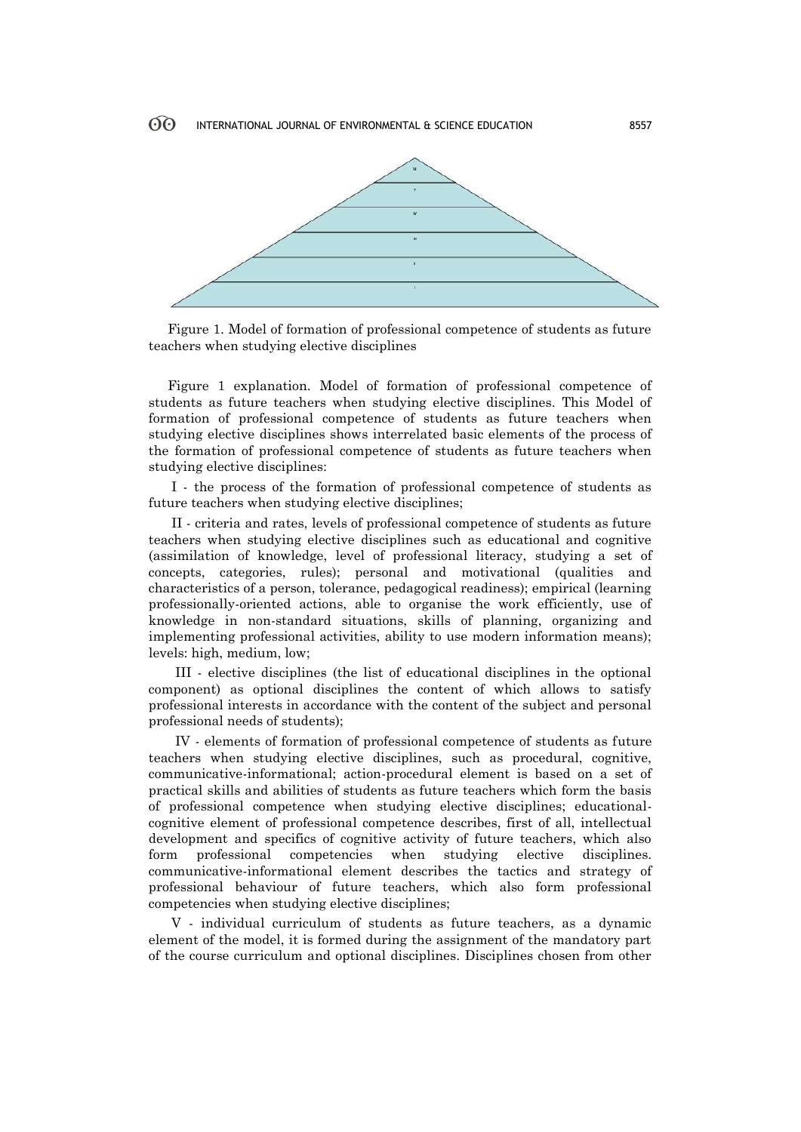

Figure 1. Model of formation of professional competence of students as future teachers when studying elective disciplines

Figure 1 explanation. Model of formation of professional competence of students as future teachers when studying elective disciplines. This Model of formation of professional competence of students as future teachers when studying elective disciplines shows interrelated basic elements of the process of the formation of professional competence of students as future teachers when studying elective disciplines:

I - the process of the formation of professional competence of students as future teachers when studying elective disciplines;

II - criteria and rates, levels of professional competence of students as future teachers when studying elective disciplines such as educational and cognitive (assimilation of knowledge, level of professional literacy, studying a set of concepts, categories, rules); personal and motivational (qualities and characteristics of a person, tolerance, pedagogical readiness); empirical (learning professionally-oriented actions, able to organise the work efficiently, use of knowledge in non-standard situations, skills of planning, organizing and implementing professional activities, ability to use modern information means); levels: high, medium, low;

 III - elective disciplines (the list of educational disciplines in the optional component) as optional disciplines the content of which allows to satisfy professional interests in accordance with the content of the subject and personal professional needs of students);

 IV - elements of formation of professional competence of students as future teachers when studying elective disciplines, such as procedural, cognitive, communicative-informational; action-procedural element is based on a set of practical skills and abilities of students as future teachers which form the basis of professional competence when studying elective disciplines; educationalcognitive element of professional competence describes, first of all, intellectual development and specifics of cognitive activity of future teachers, which also form professional competencies when studying elective disciplines. communicative-informational element describes the tactics and strategy of professional behaviour of future teachers, which also form professional competencies when studying elective disciplines;

V - individual curriculum of students as future teachers, as a dynamic element of the model, it is formed during the assignment of the mandatory part of the course curriculum and optional disciplines. Disciplines chosen from other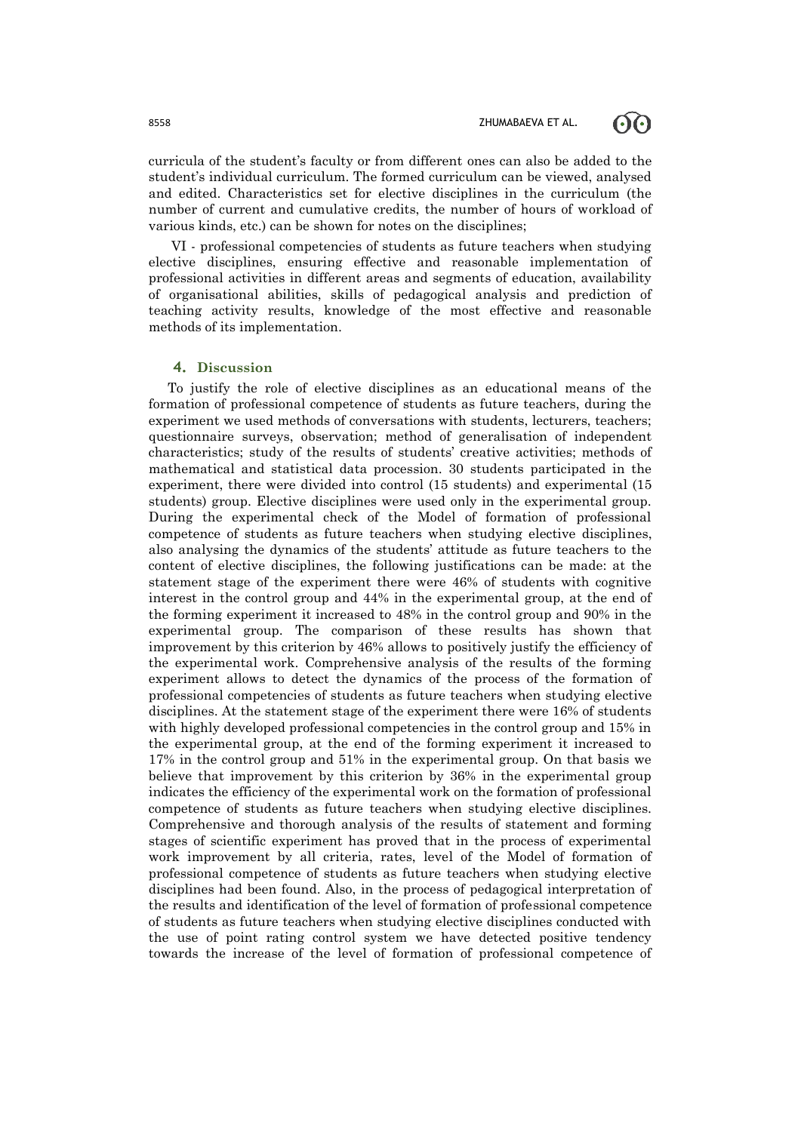60



VI - professional competencies of students as future teachers when studying elective disciplines, ensuring effective and reasonable implementation of professional activities in different areas and segments of education, availability of organisational abilities, skills of pedagogical analysis and prediction of teaching activity results, knowledge of the most effective and reasonable methods of its implementation.

#### **4. Discussion**

To justify the role of elective disciplines as an educational means of the formation of professional competence of students as future teachers, during the experiment we used methods of conversations with students, lecturers, teachers; questionnaire surveys, observation; method of generalisation of independent characteristics; study of the results of students' creative activities; methods of mathematical and statistical data procession. 30 students participated in the experiment, there were divided into control (15 students) and experimental (15 students) group. Elective disciplines were used only in the experimental group. During the experimental check of the Model of formation of professional competence of students as future teachers when studying elective disciplines, also analysing the dynamics of the students' attitude as future teachers to the content of elective disciplines, the following justifications can be made: at the statement stage of the experiment there were 46% of students with cognitive interest in the control group and 44% in the experimental group, at the end of the forming experiment it increased to 48% in the control group and 90% in the experimental group. The comparison of these results has shown that improvement by this criterion by 46% allows to positively justify the efficiency of the experimental work. Comprehensive analysis of the results of the forming experiment allows to detect the dynamics of the process of the formation of professional competencies of students as future teachers when studying elective disciplines. At the statement stage of the experiment there were 16% of students with highly developed professional competencies in the control group and 15% in the experimental group, at the end of the forming experiment it increased to 17% in the control group and 51% in the experimental group. On that basis we believe that improvement by this criterion by 36% in the experimental group indicates the efficiency of the experimental work on the formation of professional competence of students as future teachers when studying elective disciplines. Comprehensive and thorough analysis of the results of statement and forming stages of scientific experiment has proved that in the process of experimental work improvement by all criteria, rates, level of the Model of formation of professional competence of students as future teachers when studying elective disciplines had been found. Also, in the process of pedagogical interpretation of the results and identification of the level of formation of professional competence of students as future teachers when studying elective disciplines conducted with the use of point rating control system we have detected positive tendency towards the increase of the level of formation of professional competence of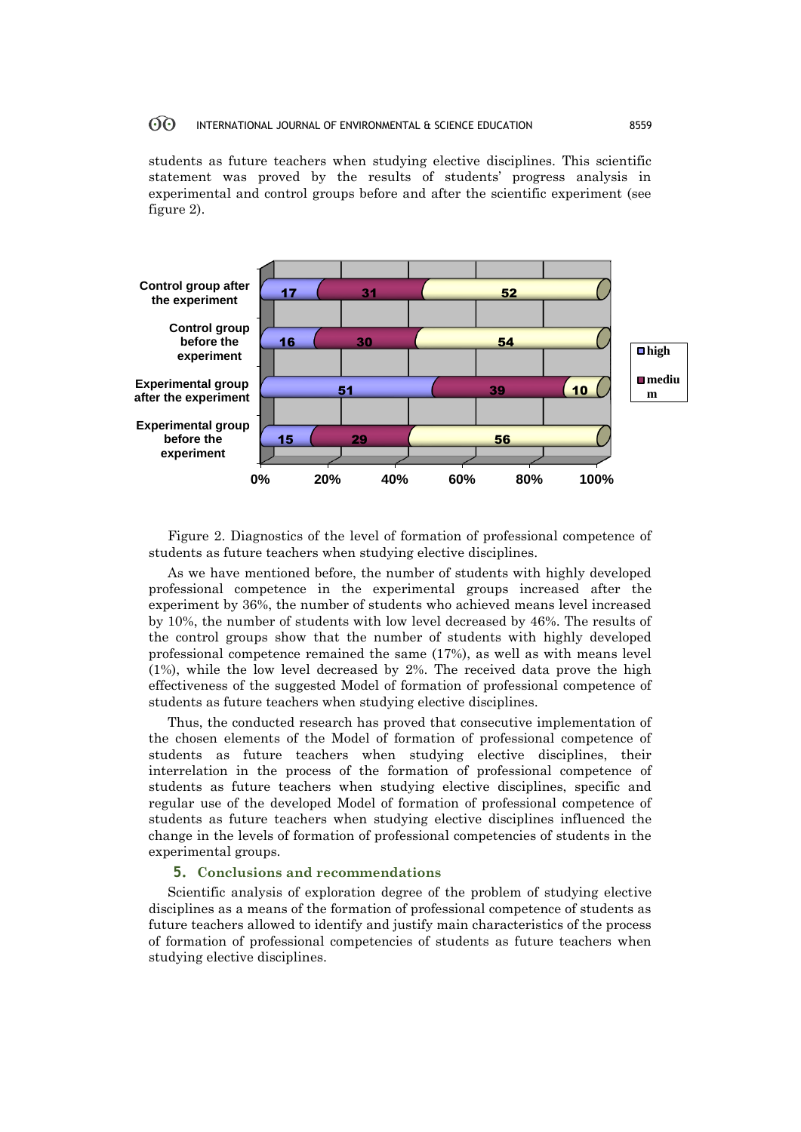#### 60 INTERNATIONAL JOURNAL OF ENVIRONMENTAL & SCIENCE EDUCATION 8559

students as future teachers when studying elective disciplines. This scientific statement was proved by the results of students' progress analysis in experimental and control groups before and after the scientific experiment (see figure 2).



Figure 2. Diagnostics of the level of formation of professional competence of students as future teachers when studying elective disciplines.

As we have mentioned before, the number of students with highly developed professional competence in the experimental groups increased after the experiment by 36%, the number of students who achieved means level increased by 10%, the number of students with low level decreased by 46%. The results of the control groups show that the number of students with highly developed professional competence remained the same (17%), as well as with means level (1%), while the low level decreased by 2%. The received data prove the high effectiveness of the suggested Model of formation of professional competence of students as future teachers when studying elective disciplines.

Thus, the conducted research has proved that consecutive implementation of the chosen elements of the Model of formation of professional competence of students as future teachers when studying elective disciplines, their interrelation in the process of the formation of professional competence of students as future teachers when studying elective disciplines, specific and regular use of the developed Model of formation of professional competence of students as future teachers when studying elective disciplines influenced the change in the levels of formation of professional competencies of students in the experimental groups.

### **5. Conclusions and recommendations**

Scientific analysis of exploration degree of the problem of studying elective disciplines as a means of the formation of professional competence of students as future teachers allowed to identify and justify main characteristics of the process of formation of professional competencies of students as future teachers when studying elective disciplines.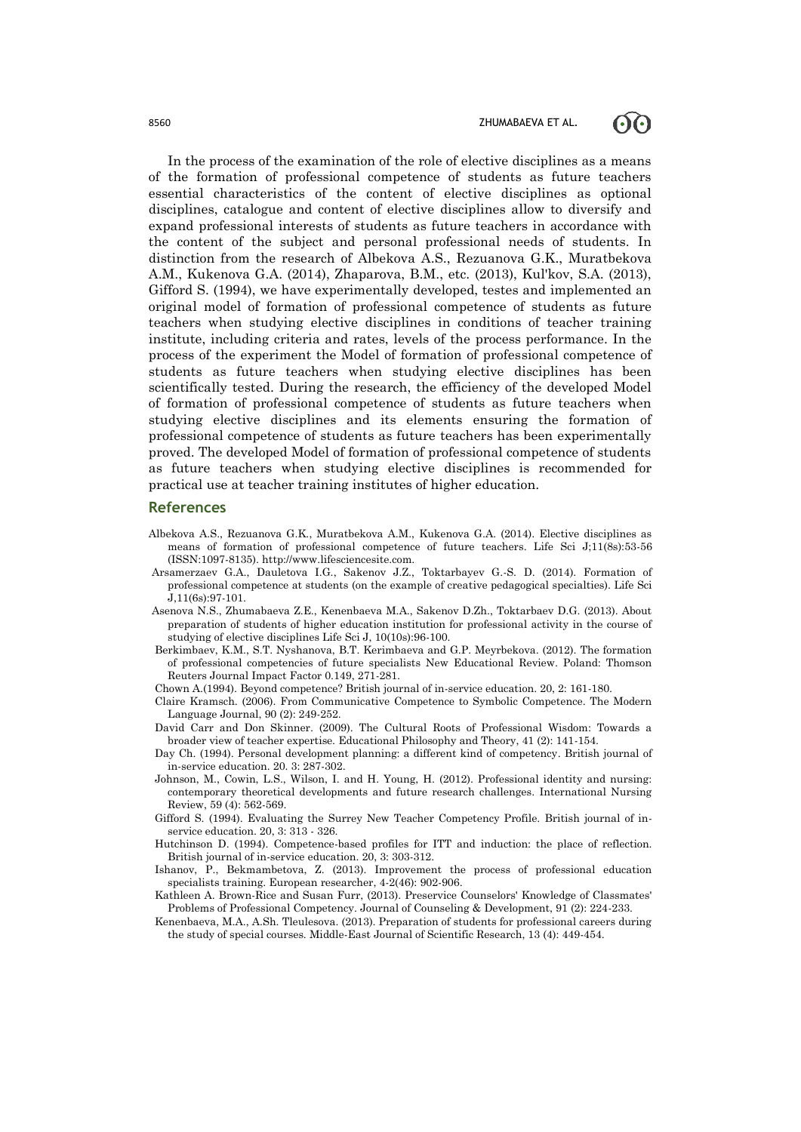#### 8560 **ZHUMABAEVA ET AL.**



In the process of the examination of the role of elective disciplines as a means of the formation of professional competence of students as future teachers essential characteristics of the content of elective disciplines as optional disciplines, catalogue and content of elective disciplines allow to diversify and expand professional interests of students as future teachers in accordance with the content of the subject and personal professional needs of students. In distinction from the research of Albekova A.S., Rezuanova G.K., Muratbekova A.M., Kukenova G.A. (2014), Zhaparova, B.M., etc. (2013), Kul'kov, S.A. (2013), Gifford S. (1994), we have experimentally developed, testes and implemented an original model of formation of professional competence of students as future teachers when studying elective disciplines in conditions of teacher training institute, including criteria and rates, levels of the process performance. In the process of the experiment the Model of formation of professional competence of students as future teachers when studying elective disciplines has been scientifically tested. During the research, the efficiency of the developed Model of formation of professional competence of students as future teachers when studying elective disciplines and its elements ensuring the formation of professional competence of students as future teachers has been experimentally proved. The developed Model of formation of professional competence of students as future teachers when studying elective disciplines is recommended for practical use at teacher training institutes of higher education.

#### **References**

- Albekova A.S., Rezuanova G.K., Muratbekova A.M., Kukenova G.A. (2014). Elective disciplines as means of formation of professional competence of future teachers. Life Sci J;11(8s):53-56 (ISSN:1097-8135). http://www.lifesciencesite.com.
- Arsamerzaev G.A., Dauletova I.G., Sakenov J.Z., Toktarbayev G.-S. D. (2014). Formation of professional competence at students (on the example of creative pedagogical specialties). Life Sci J,11(6s):97-101.
- Asenova N.S., Zhumabaeva Z.E., Kenenbaeva M.A., Sakenov D.Zh., Toktarbaev D.G. (2013). About preparation of students of higher education institution for professional activity in the course of studying of elective disciplines Life Sci J, 10(10s):96-100.
- Berkimbaev, K.M., S.T. Nyshanova, B.T. Kerimbaeva and G.P. Meyrbekova. (2012). The formation of professional competencies of future specialists New Educational Review. Poland: Thomson Reuters Journal Impact Factor 0.149, 271-281.

Chown A.(1994). Beyond competence? British journal of in-service education. 20, 2: 161-180.

- Claire Kramsch. (2006). From Communicative Competence to Symbolic Competence. The Modern Language Journal, 90 (2): 249-252.
- David Carr and Don Skinner. (2009). The Cultural Roots of Professional Wisdom: Towards a broader view of teacher expertise. Educational Philosophy and Theory, 41 (2): 141-154.
- Day Ch. (1994). Personal development planning: a different kind of competency. British journal of in-service education. 20. 3: 287-302.
- Johnson, M., Cowin, L.S., Wilson, I. and H. Young, H. (2012). Professional identity and nursing: contemporary theoretical developments and future research challenges. International Nursing Review, 59 (4): 562-569.
- Gifford S. (1994). Evaluating the Surrey New Teacher Competency Profile. British journal of inservice education. 20, 3: 313 - 326.
- Hutchinson D. (1994). Competence-based profiles for ITT and induction: the place of reflection. British journal of in-service education. 20, 3: 303-312.
- Ishanov, P., Bekmambetova, Z. (2013). Improvement the process of professional education specialists training. European researcher, 4-2(46): 902-906.
- Kathleen A. Brown-Rice and Susan Furr, (2013). Preservice Counselors' Knowledge of Classmates' Problems of Professional Competency. Journal of Counseling & Development, 91 (2): 224-233.
- Kenenbaeva, M.A., A.Sh. Tleulesova. (2013). Preparation of students for professional careers during the study of special courses. Middle-East Journal of Scientific Research, 13 (4): 449-454.